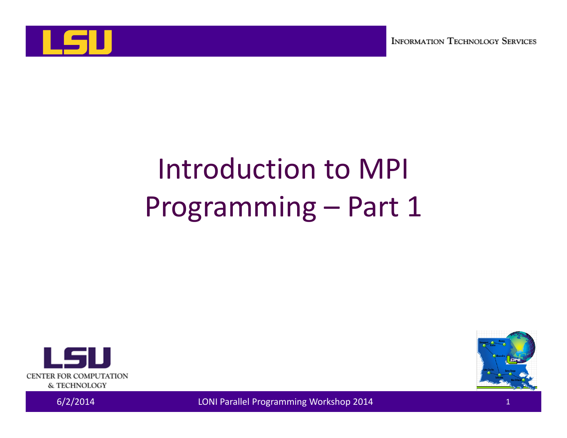

# Introduction to MPI Programming – Part 1





6/2/2014 LONI Parallel Programming Workshop 2014 <sup>1</sup>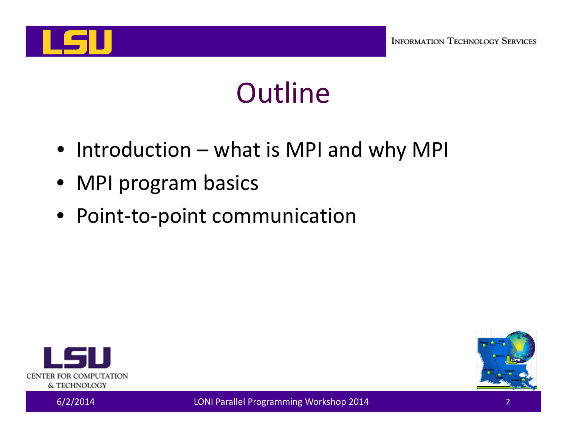

## **Outline**

- Introduction what is MPI and why MPI
- MPI program basics
- Point‐to‐point communication



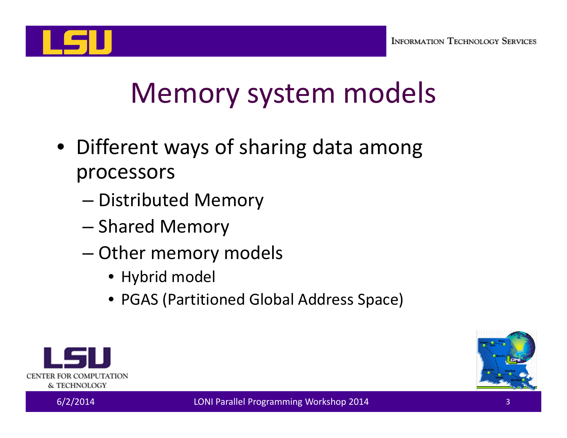

## Memory system models

- Different ways of sharing data among processors
	- Distributed Memory
	- –- Shared Memory
	- –— Other memory models
		- Hybrid model
		- PGAS (Partitioned Global Address Space)



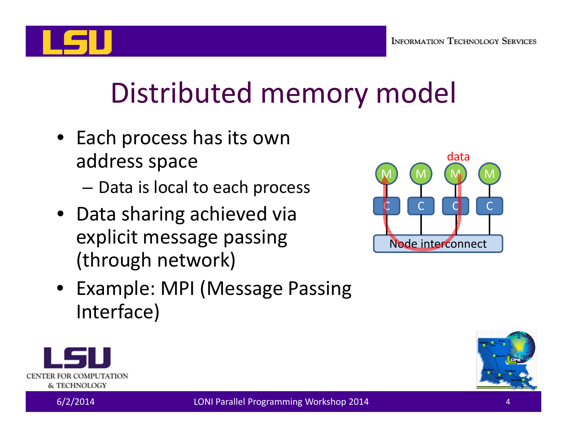

# Distributed memory model

- Each process has its own address space
	- – $-$  Data is local to each process
- Data sharing achieved via explicit message passing (through network)



• Example: MPI (Message Passing Interface)



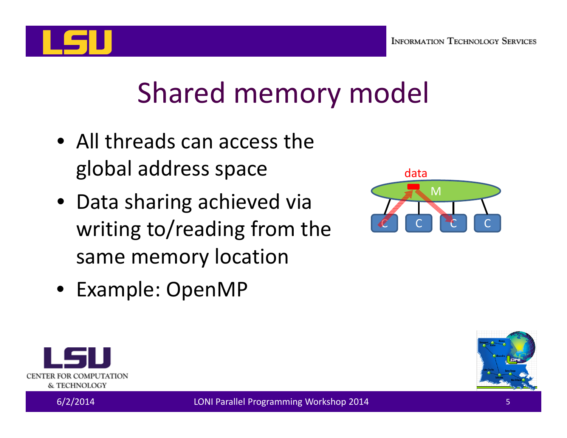

## Shared memory model

- All threads can access the global address space
- Data sharing achieved via writing to/reading from the same memory location



• Example: OpenMP





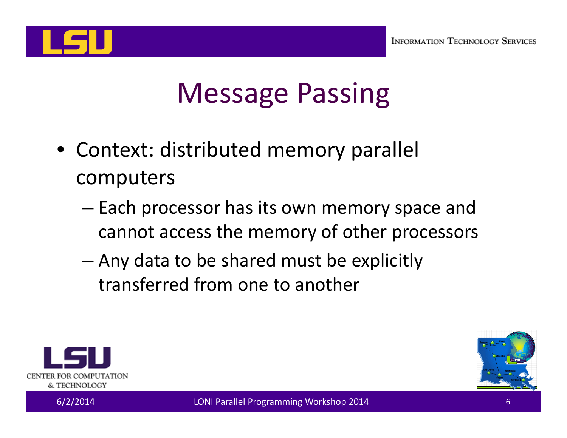

## Message Passing

- Context: distributed memory parallel computers
	- – $-$  Each processor has its own memory space and cannot access the memory of other processors
	- – Any data to be shared must be explicitly transferred from one to another



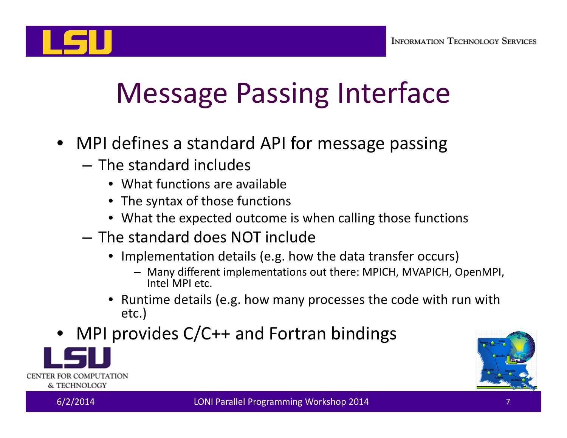

# Message Passing Interface

- MPI defines a standard API for message passing
	- The standard includes
		- What functions are available
		- The syntax of those functions
		- What the expected outcome is when calling those functions
	- The standard does NOT include
		- Implementation details (e.g. how the data transfer occurs)
			- Many different implementations out there: MPICH, MVAPICH, OpenMPI, Intel MPI etc.
		- • Runtime details (e.g. how many processes the code with run with etc.)
- •MPI provides C/C++ and Fortran bindings





**CENTER FOR COMPUTATION** & TECHNOLOGY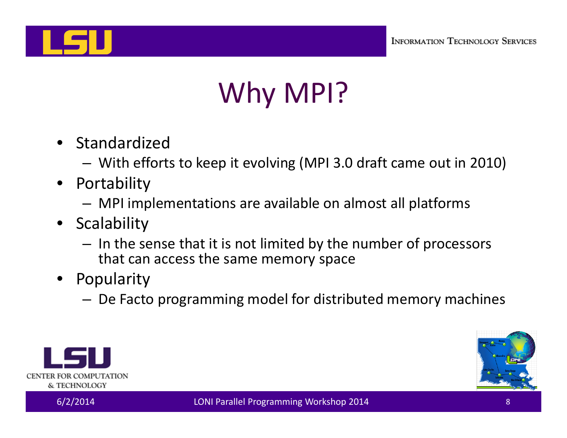

# Why MPI?

- Standardized
	- –With efforts to keep it evolving (MPI 3.0 draft came out in 2010)
- • Portability
	- –MPI implementations are available on almost all platforms
- Scalability
	- – $-$  In the sense that it is not limited by the number of processors that can access the same memory space
- Popularity
	- –De Facto programming model for distributed memory machines



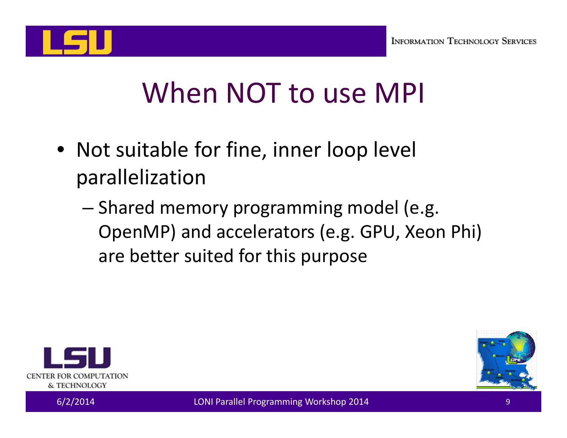

## When NOT to use MPI

- Not suitable for fine, inner loop level parallelization
	- –– Shared memory programming model (e.g. OpenMP) and accelerators (e.g. GPU, Xeon Phi) are better suited for this purpose



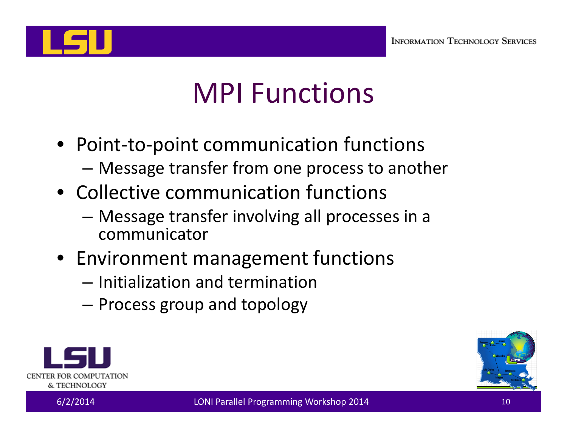

## MPI Functions

- Point‐to‐point communication functions –Message transfer from one process to another
- Collective communication functions
	- – Message transfer involving all processes in <sup>a</sup> communicator
- Environment management functions
	- Initialization and termination
	- –Process group and topology



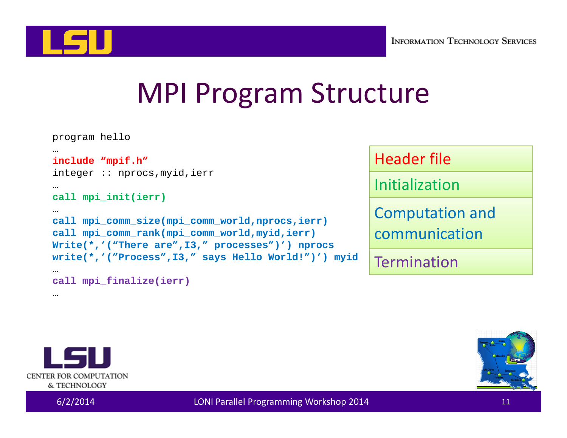

### MPI Program Structure

```
program hello
…include "mpif.h"
integer :: nprocs,myid,ierr
…call mpi_init(ierr)
…
call mpi_comm_size(mpi_comm_world,nprocs,ierr)
call mpi_comm_rank(mpi_comm_world,myid,ierr)
Write(*,'("There are",I3," processes")') nprocs
write(*,'("Process",I3," says Hello World!")') myid
…
call mpi_finalize(ierr)
```
Header file

Initialization

Computation and communication

**Termination** 



…

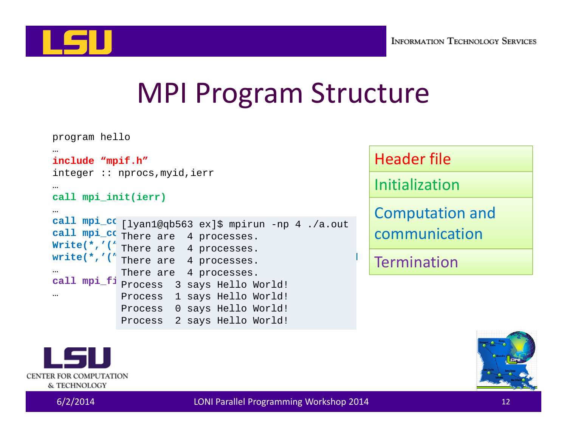

### MPI Program Structure

```
program hello
…include "mpif.h"
integer :: nprocs,myid,ierr
…call mpi_init(ierr)
…
call mpi_comm_size(mpi_comm_world,nprocs,ierr)
[lyan1@qb563 ex]$ mpirun -np 4 ./a.out
call mpi_comm_rank(mpi_comm_world,myid,ierr)
There are 4 processes.
Write(*,'(" There are 4 processes.
write(*,'(" There are 4 processes.
…
call mpi_finalize(ierr)
Process 3 says Hello World!
…There are 4 processes.
            Process 1 says Hello World!
            Process 0 says Hello World!
             Process 2 says Hello World!
```
Header file

Initialization

Computation and communication

Termination



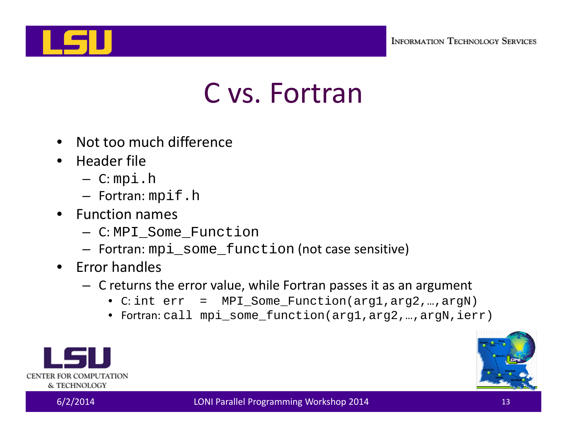

#### C vs. Fortran

- •Not too much difference
- Header file
	- C: mpi.h
	- Fortran: mpif.h
- Function names
	- C: MPI\_Some\_Function
	- Fortran: mpi\_some\_function (not case sensitive)
- Error handles
	- C returns the error value, while Fortran passes it as an argument
		- C: int err = MPI\_Some\_Function(arg1,arg2,…,argN)
		- Fortran: call mpi\_some\_function(arg1,arg2,…,argN,ierr)



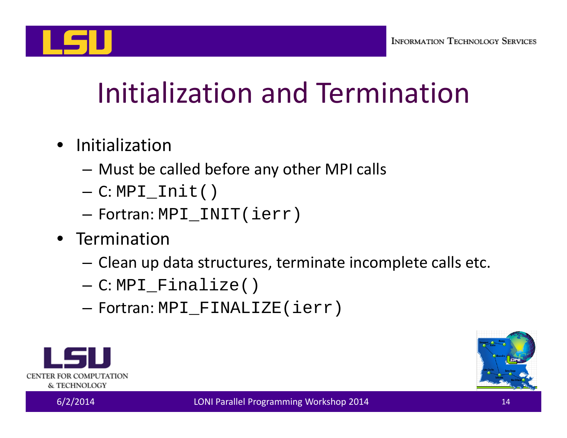

## Initialization and Termination

- Initialization
	- –Must be called before any other MPI calls
	- –C: MPI\_Init()
	- $-$  Fortran: <code>MPI\_INIT(ierr)</code>
- Termination
	- $-$  Clean up data structures, terminate incomplete calls etc.
	- C: MPI\_Finalize()
	- $-$  Fortran: <code>MPI\_FINALIZE(ierr)</code>



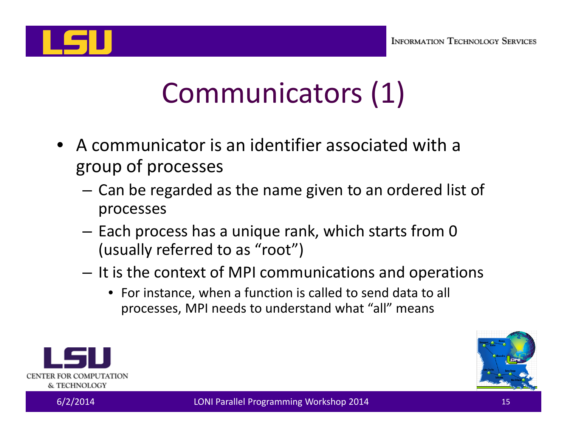

# Communicators (1)

- $\bullet$  A communicator is an identifier associated with a group of processes
	- – Can be regarded as the name given to an ordered list of processes
	- $-$  Each process has a unique rank, which starts from 0  $\,$ (usually referred to as "root")
	- $-$  It is the context of MPI communications and operations
		- For instance, when a function is called to send data to all processes, MPI needs to understand what "all" means



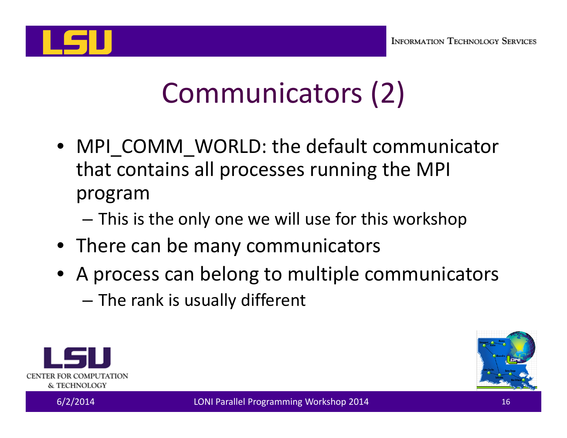

# Communicators (2)

- MPI\_COMM\_WORLD: the default communicator that contains all processes running the MPI program
	- –This is the only one we will use for this workshop
- There can be many communicators
- A process can belong to multiple communicators
	- – $-$  The rank is usually different



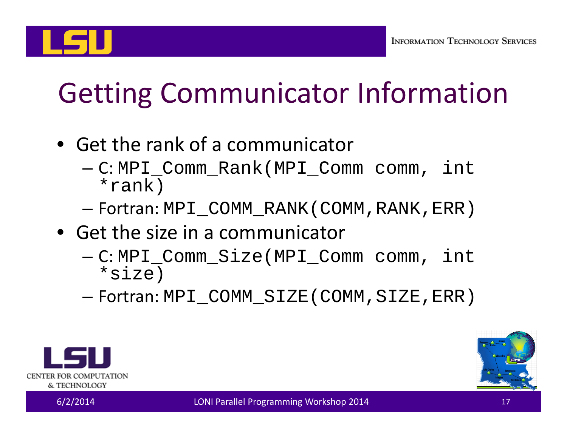# Getting Communicator Information

- Get the rank of <sup>a</sup> communicator
	- – C: MPI\_Comm\_Rank(MPI\_Comm comm, int \*rank)
	- –Fortran: MPI\_COMM\_RANK(COMM,RANK,ERR)
- Get the size in a communicator
	- – C: MPI\_Comm\_Size(MPI\_Comm comm, int \*size)
	- –Fortran: MPI\_COMM\_SIZE(COMM,SIZE,ERR)



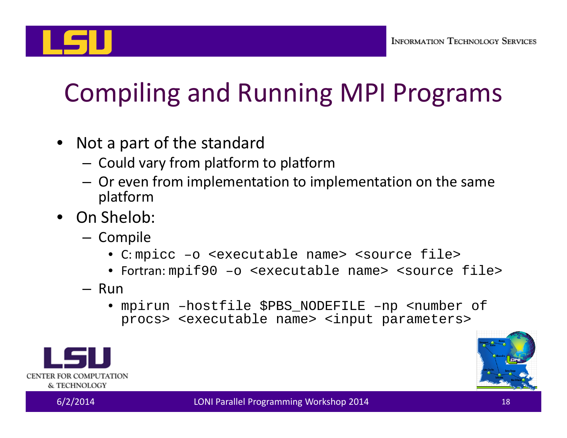

## Compiling and Running MPI Programs

- Not a part of the standard
	- – $-$  Could vary from platform to platform
	- Or even from implementation to implementation on the same platform
- On Shelob:
	- Compile
		- C: mpicc –o <executable name> <source file>
		- Fortran: mpif90 –o <executable name> <source file>
	- Run
		- mpirun –hostfile \$PBS\_NODEFILE –np <number of procs> <executable name> <input parameters>



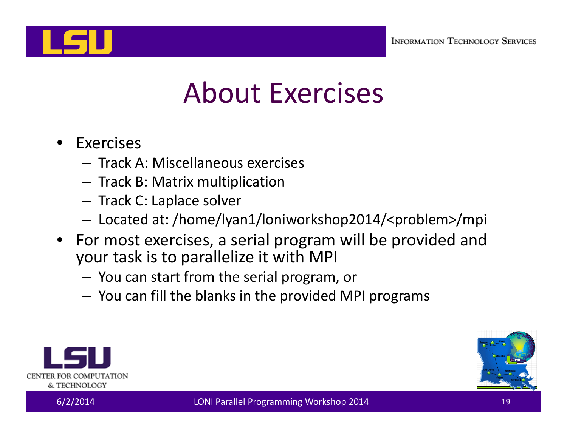

## About Exercises

- • Exercises
	- Track A: Miscellaneous exercises
	- –— Track B: Matrix multiplication
	- – $-$  Track C: Laplace solver
	- –Located at: /home/lyan1/loniworkshop2014/<problem>/mpi
- For most exercises, <sup>a</sup> serial program will be provided and your task is to parallelize it with MPI
	- You can start from the serial program, or
	- –You can fill the blanks in the provided MPI programs



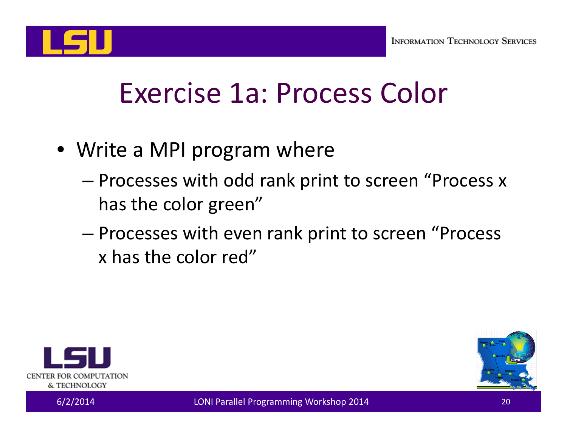

## Exercise 1a: Process Color

- Write <sup>a</sup> MPI program where
	- – Processes with odd rank print to screen "Process <sup>x</sup> has the color green"
	- – Processes with even rank print to screen "Process x has the color red"



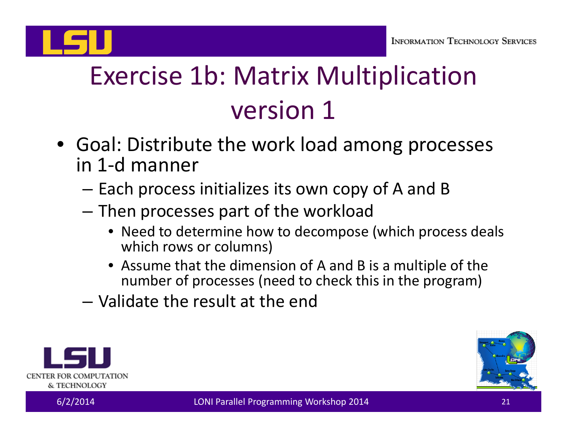

## Exercise 1b: Matrix Multiplication version 1

- Goal: Distribute the work load among processes in 1‐d manner
	- – $-$  Each process initializes its own copy of A and B
	- – Then processes part of the workload
		- Need to determine how to decompose (which process deals which rows or columns)
		- Assume that the dimension of A and B is <sup>a</sup> multiple of the number of processes (need to check this in the program)
	- Validate the result at the end



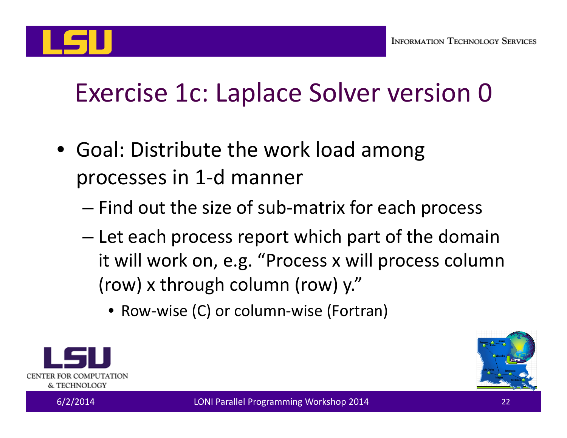

#### Exercise 1c: Laplace Solver version 0

- Goal: Distribute the work load among processes in 1‐d manner
	- –Find out the size of sub‐matrix for each process
	- – $-$  Let each process report which part of the domain it will work on, e.g. "Process <sup>x</sup> will process column (row) <sup>x</sup> through column (row) y."
		- Row‐wise (C) or column‐wise (Fortran)



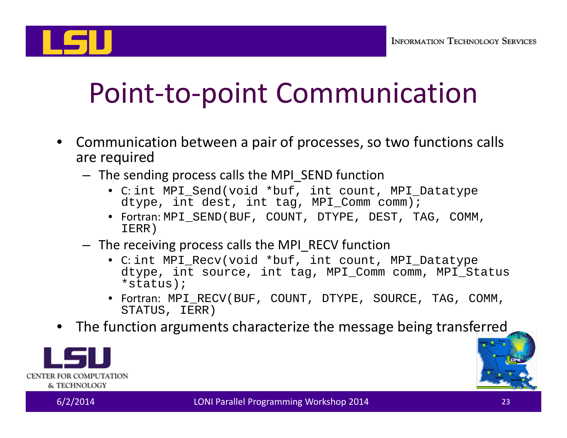

## Point‐to‐point Communication

- • Communication between <sup>a</sup> pair of processes, so two functions calls are required
	- The sending process calls the MPI\_SEND function
		- C: int MPI\_Send(void \*buf, int count, MPI\_Datatype dtype, int dest, int tag, MPI\_Comm comm);
		- Fortran: MPI\_SEND(BUF, COUNT, DTYPE, DEST, TAG, COMM, IERR)
	- The receiving process calls the MPI\_RECV function
		- C: int MPI\_Recv(void \*buf, int count, MPI\_Datatype dtype, int source, int tag, MPI\_Comm comm, MPI\_Status \*status);
		- Fortran: MPI\_RECV(BUF, COUNT, DTYPE, SOURCE, TAG, COMM, STATUS, IERR)
- •The function arguments characterize the message being transferred



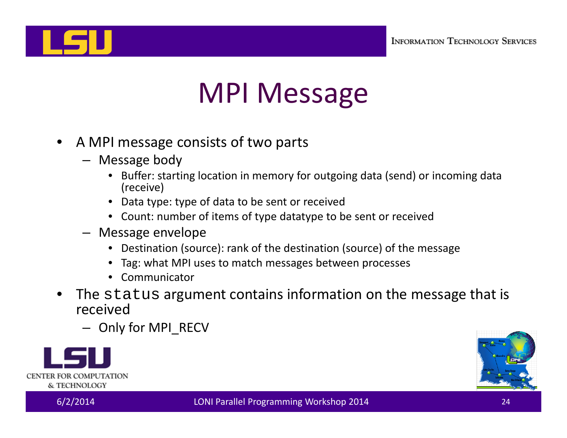

## MPI Message

- • A MPI message consists of two parts
	- Message body
		- Buffer: starting location in memory for outgoing data (send) or incoming data (receive)
		- Data type: type of data to be sent or received
		- Count: number of items of type datatype to be sent or received
	- Message envelope
		- Destination (source): rank of the destination (source) of the message
		- Tag: what MPI uses to match messages between processes
		- Communicator
- • $\bullet$  The  $\texttt{status}$  argument contains information on the message that is received
	- Only for MPI\_RECV



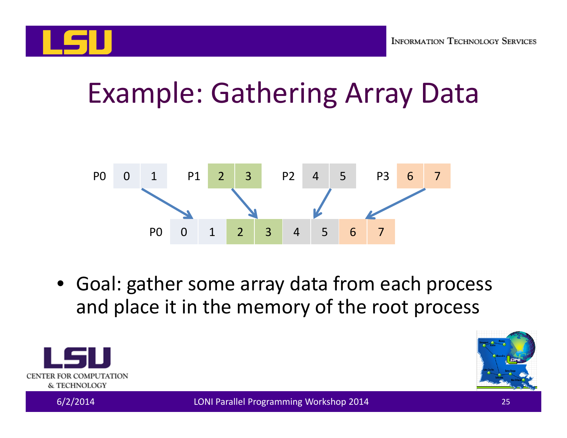

## Example: Gathering Array Data



• Goal: gather some array data from each process and place it in the memory of the root process



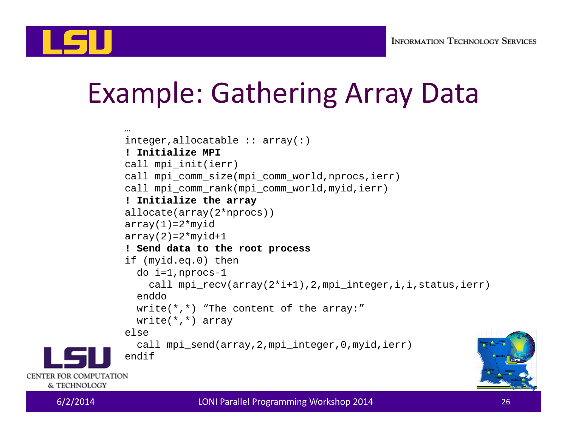

## Example: Gathering Array Data

```
…integer, all ocatable :: array(:)! Initialize MPIcall mpi_init(ierr)
call mpi_comm_size(mpi_comm_world,nprocs,ierr)
call mpi_comm_rank(mpi_comm_world,myid,ierr)
! Initialize the array
allocate(array(2*nprocs))
array(1)=2*myidarray(2)=2*myid+1! Send data to the root process
if (myid.eq.0) then
  do i=1,nprocs-1
    call mpi recv(array(2*i+1),2,mpi integer,i,i,status,ierr)
  enddowrite(*,*) "The content of the array:"
  write(*,*) array
elsecall mpi send(array, 2, mpi integer, 0, myid, ierr)
endif
```


CENTER FOR COMPUTATION & TECHNOLOGY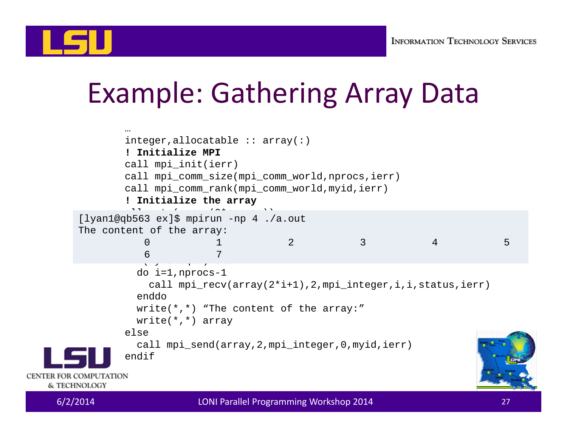

## Example: Gathering Array Data

|                                        | $\cdots$<br>! Initialize MPI<br>call mpi_init(ierr)                                                                                                                                                                                    | integer, all ocatable :: array(:)<br>call mpi_comm_size(mpi_comm_world,nprocs,ierr)<br>call mpi_comm_rank(mpi_comm_world,myid,ierr)<br>! Initialize the array |   |  |                |   |  |
|----------------------------------------|----------------------------------------------------------------------------------------------------------------------------------------------------------------------------------------------------------------------------------------|---------------------------------------------------------------------------------------------------------------------------------------------------------------|---|--|----------------|---|--|
|                                        | The content of the array:<br>$\Omega$<br>6                                                                                                                                                                                             | [lyan1@qb563 ex]\$ mpirun -np 4./a.out                                                                                                                        | 2 |  | $\overline{4}$ | 5 |  |
|                                        | do $i=1$ , nprocs-1<br>call mpi_recv(array(2*i+1),2,mpi_integer,i,i,status,ierr)<br>enddo<br>write( $*,*$ ) "The content of the array:"<br>$write(*, *)$ array<br>else<br>call mpi_send(array, 2, mpi_integer, 0, myid, ierr)<br>endif |                                                                                                                                                               |   |  |                |   |  |
| CENTER FOR COMPUTATION<br>& TECHNOLOGY |                                                                                                                                                                                                                                        |                                                                                                                                                               |   |  |                |   |  |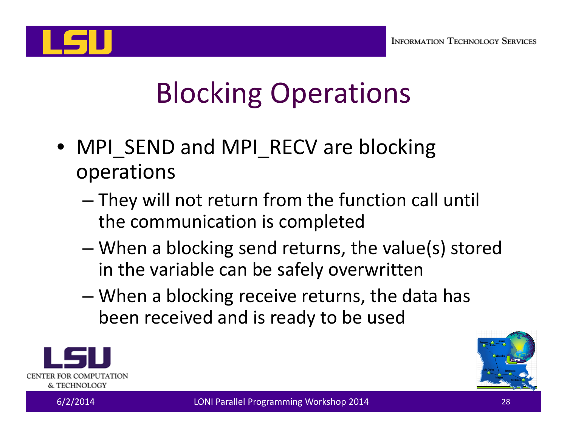

# Blocking Operations

- MPI\_SEND and MPI\_RECV are blocking operations
	- $-$  They will not return from the function call until the communication is completed
	- – When <sup>a</sup> blocking send returns, the value(s) stored in the variable can be safely overwritten
	- – When <sup>a</sup> blocking receive returns, the data has been received and is ready to be used



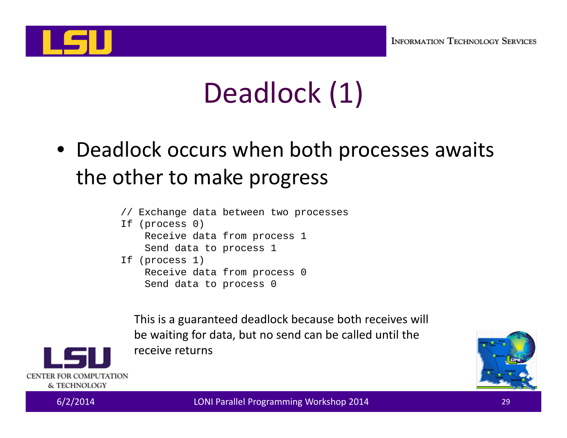

# Deadlock (1)

- Deadlock occurs when both processes awaits the other to make progress
	- // Exchange data between two processes
	- If (process 0) Receive data from process 1 Send data to process 1 If (process 1)
		- Receive data from process 0 Send data to process 0

This is a guaranteed deadlock because both receives will be waiting for data, but no send can be called until the receive returns



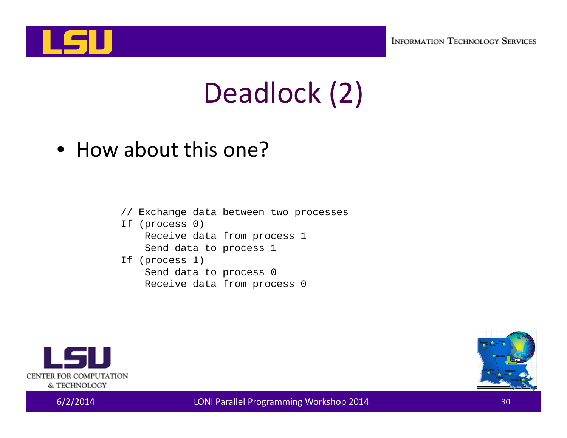

# Deadlock (2)

• How about this one?

- // Exchange data between two processes
- If (process 0) Receive data from process 1 Send data to process 1
- If (process 1) Send data to process 0 Receive data from process 0



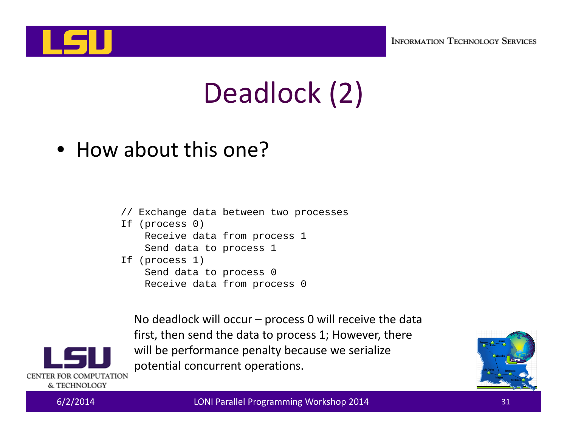

# Deadlock (2)

• How about this one?

- // Exchange data between two processes
- If (process 0) Receive data from process 1 Send data to process 1
- If (process 1) Send data to process 0 Receive data from process 0

No deadlock will occur – process 0 will receive the data first, then send the data to process 1; However, there will be performance penalty because we serialize potential concurrent operations.





CENTER FOR COMPUTATION & TECHNOLOGY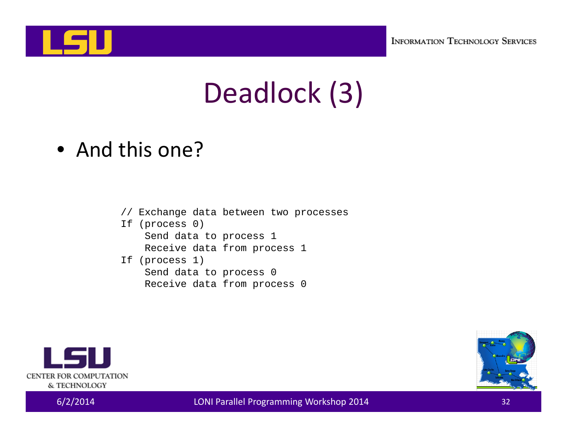

# Deadlock (3)

• And this one?

- // Exchange data between two processes
- If (process 0) Send data to process 1 Receive data from process 1
- If (process 1) Send data to process 0 Receive data from process 0



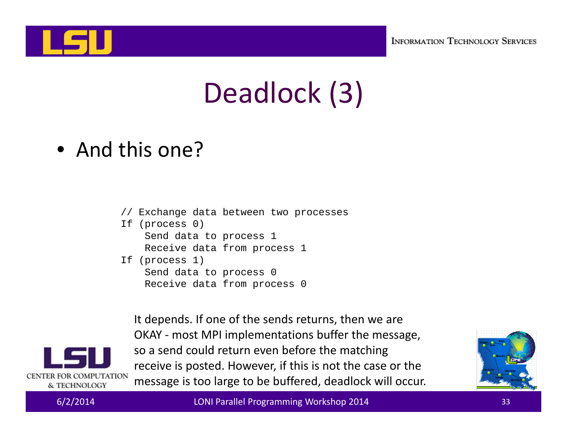

# Deadlock (3)

• And this one?

- // Exchange data between two processes
- If (process 0) Send data to process 1 Receive data from process 1
- If (process 1) Send data to process 0 Receive data from process 0

It depends. If one of the sends returns, then we are OKAY ‐ most MPI implementations buffer the message, so <sup>a</sup> send could return even before the matching receive is posted. However, if this is not the case or the message is too large to be buffered, deadlock will occur.





CENTER FOR COMPUTATION & TECHNOLOGY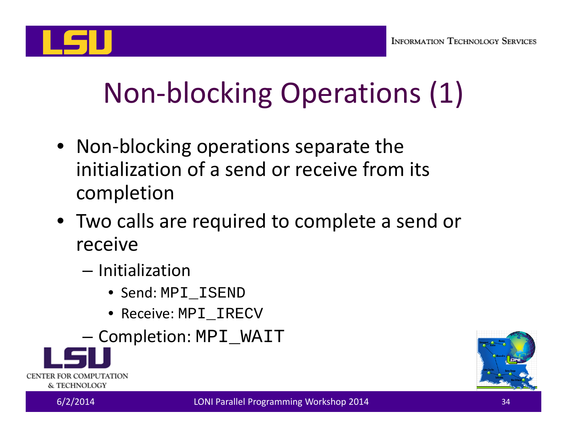

# Non‐blocking Operations (1)

- Non‐blocking operations separate the initialization of <sup>a</sup> send or receive from its completion
- Two calls are required to complete <sup>a</sup> send or receive
	- Initialization
		- Send: MPI\_ISEND
		- Receive: MPI\_IRECV
	- – $-$  Completion: <code>MPI\_WAIT</code>



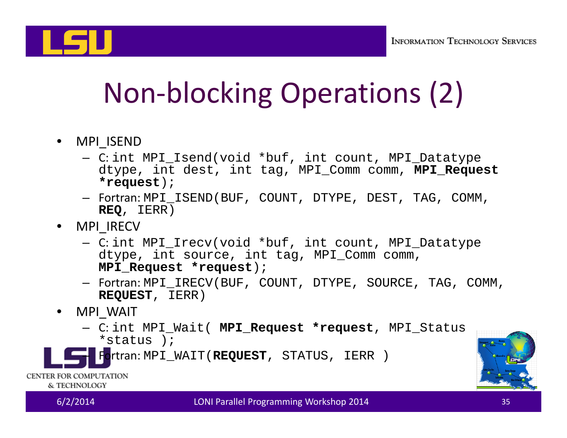

# Non‐blocking Operations (2)

- MPI\_ISEND
	- C: int MPI\_Isend(void \*buf, int count, MPI\_Datatype dtype, int dest, int tag, MPI\_Comm comm, **MPI\_Request \*request**);
	- Fortran: MPI\_ISEND(BUF, COUNT, DTYPE, DEST, TAG, COMM, **REQ**, IERR)
- MPI\_IRECV
	- C: int MPI\_Irecv(void \*buf, int count, MPI\_Datatype dtype, int source, int tag, MPI\_Comm comm, **MPI\_Request \*request**);
	- Fortran: MPI\_IRECV(BUF, COUNT, DTYPE, SOURCE, TAG, COMM, **REQUEST**, IERR)
- • MPI\_WAIT
	- C: int MPI\_Wait( **MPI\_Request \*request**, MPI\_Status \*status );



CENTER FOR COMPUTATION & TECHNOLOGY

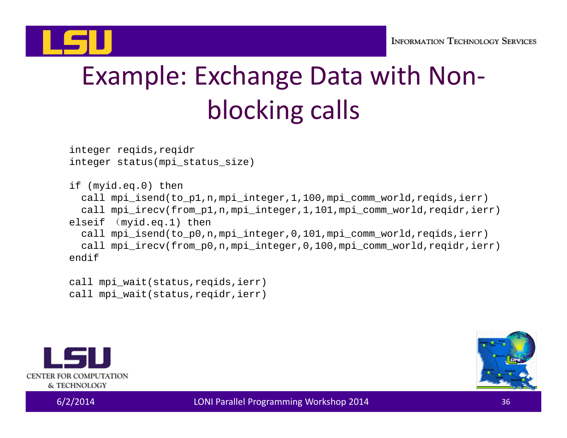

## Example: Exchange Data with Non‐ blocking calls

integer reqids,reqidr integer status(mpi\_status\_size)

if (myid.eq.0) then call mpi isend(to p1,n,mpi integer,1,100,mpi comm world,reqids,ierr) call mpi\_irecv(from\_p1,n,mpi\_integer,1,101,mpi\_comm\_world,reqidr,ierr) elseif (myid.eq.1) then call mpi\_isend(to\_p0,n,mpi\_integer,0,101,mpi\_comm\_world,reqids,ierr) call mpi irecv(from p0,n,mpi integer,0,100,mpi comm world,regidr,ierr) endif

call mpi\_wait(status,reqids,ierr) call mpi wait(status,reqidr,ierr)



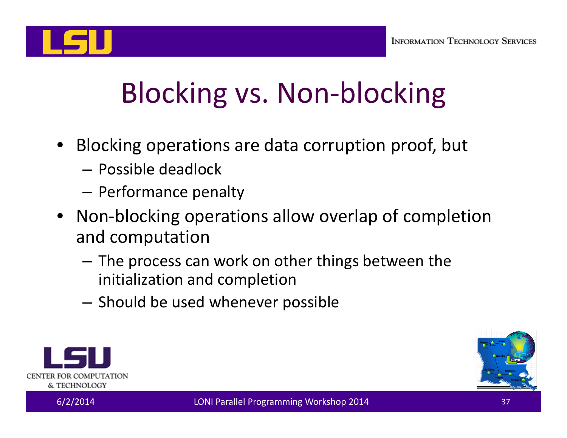

# Blocking vs. Non‐blocking

- Blocking operations are data corruption proof, but
	- Possible deadlock
	- $-$  Performance penalty
- Non‐blocking operations allow overlap of completion and computation
	- – $-$  The process can work on other things between the initialization and completion
	- $-$  Should be used whenever possible



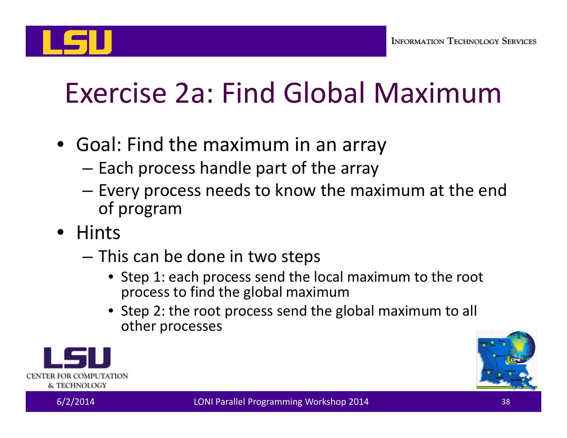

# Exercise 2a: Find Global Maximum

- Goal: Find the maximum in an array
	- – $-$  Each process handle part of the array
	- – $-$  Every process needs to know the maximum at the end of program
- Hints
	- – $-$  This can be done in two steps
		- Step 1: each process send the local maximum to the root process to find the global maximum
		- Step 2: the root process send the global maximum to all other processes



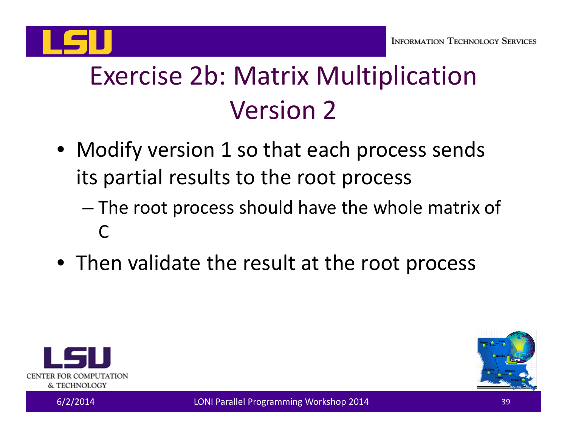

## Exercise 2b: Matrix Multiplication Version 2

- Modify version 1 so that each process sends its partial results to the root process
	- – The root process should have the whole matrix of  $\Gamma$
- Then validate the result at the root process